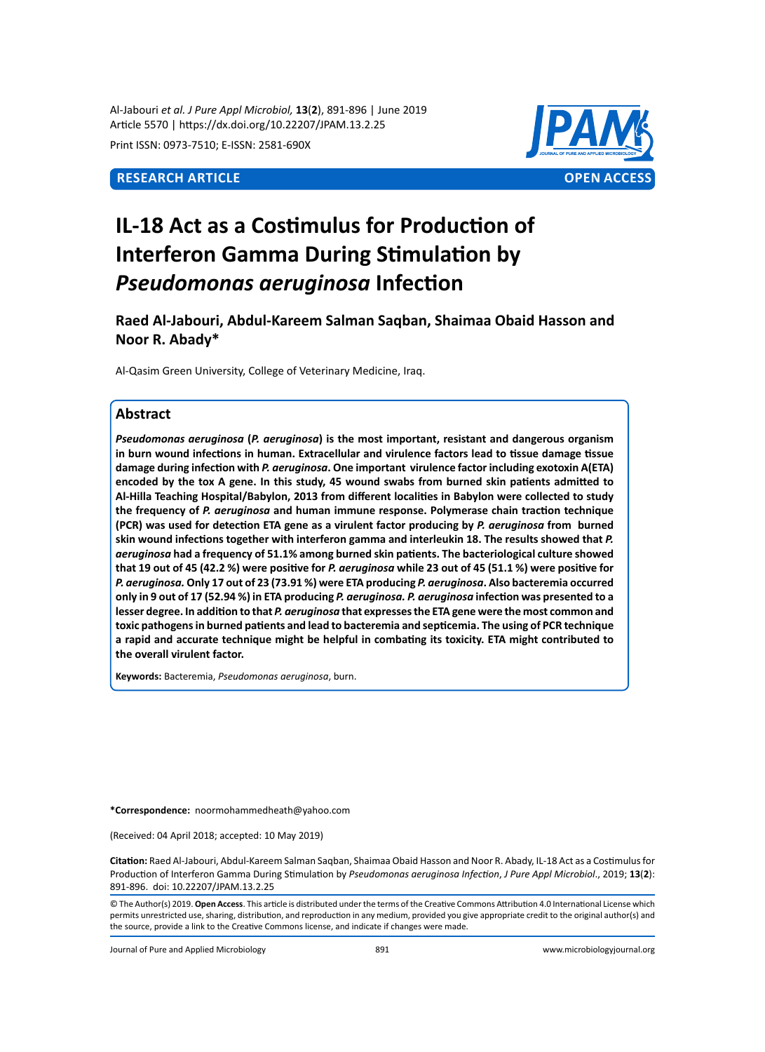Al-Jabouri *et al. J Pure Appl Microbiol,* **13**(**2**), 891-896 | June 2019 Article 5570 | https://dx.doi.org/10.22207/JPAM.13.2.25

Print ISSN: 0973-7510; E-ISSN: 2581-690X



# **IL-18 Act as a Costimulus for Production of Interferon Gamma During Stimulation by**  *Pseudomonas aeruginosa* **Infection**

**Raed Al-Jabouri, Abdul-Kareem Salman Saqban, Shaimaa Obaid Hasson and Noor R. Abady\***

Al-Qasim Green University, College of Veterinary Medicine, Iraq.

# **Abstract**

*Pseudomonas aeruginosa* **(***P. aeruginosa***) is the most important, resistant and dangerous organism in burn wound infections in human. Extracellular and virulence factors lead to tissue damage tissue damage during infection with** *P. aeruginosa***. One important virulence factor including exotoxin A(ETA) encoded by the tox A gene. In this study, 45 wound swabs from burned skin patients admitted to Al-Hilla Teaching Hospital/Babylon, 2013 from different localities in Babylon were collected to study the frequency of** *P. aeruginosa* **and human immune response. Polymerase chain traction technique (PCR) was used for detection ETA gene as a virulent factor producing by** *P. aeruginosa* **from burned skin wound infections together with interferon gamma and interleukin 18. The results showed that** *P. aeruginosa* **had a frequency of 51.1% among burned skin patients. The bacteriological culture showed that 19 out of 45 (42.2 %) were positive for** *P. aeruginosa* **while 23 out of 45 (51.1 %) were positive for** *P. aeruginosa.* **Only 17 out of 23 (73.91 %) were ETA producing** *P. aeruginosa***. Also bacteremia occurred only in 9 out of 17 (52.94 %) in ETA producing** *P. aeruginosa. P. aeruginosa* **infection was presented to a lesser degree. In addition to that** *P. aeruginosa* **that expresses the ETA gene were the most common and toxic pathogens in burned patients and lead to bacteremia and septicemia. The using of PCR technique a rapid and accurate technique might be helpful in combating its toxicity. ETA might contributed to the overall virulent factor.** 

**Keywords:** Bacteremia, *Pseudomonas aeruginosa*, burn.

**\*Correspondence:** noormohammedheath@yahoo.com

(Received: 04 April 2018; accepted: 10 May 2019)

**Citation:** Raed Al-Jabouri, Abdul-Kareem Salman Saqban, Shaimaa Obaid Hasson and Noor R. Abady, IL-18 Act as a Costimulus for Production of Interferon Gamma During Stimulation by *Pseudomonas aeruginosa Infection*, *J Pure Appl Microbiol*., 2019; **13**(**2**): 891-896. doi: 10.22207/JPAM.13.2.25

© The Author(s) 2019. **Open Access**. This article is distributed under the terms of the Creative Commons Attribution 4.0 International License which permits unrestricted use, sharing, distribution, and reproduction in any medium, provided you give appropriate credit to the original author(s) and the source, provide a link to the Creative Commons license, and indicate if changes were made.

Journal of Pure and Applied Microbiology 891 www.microbiologyjournal.org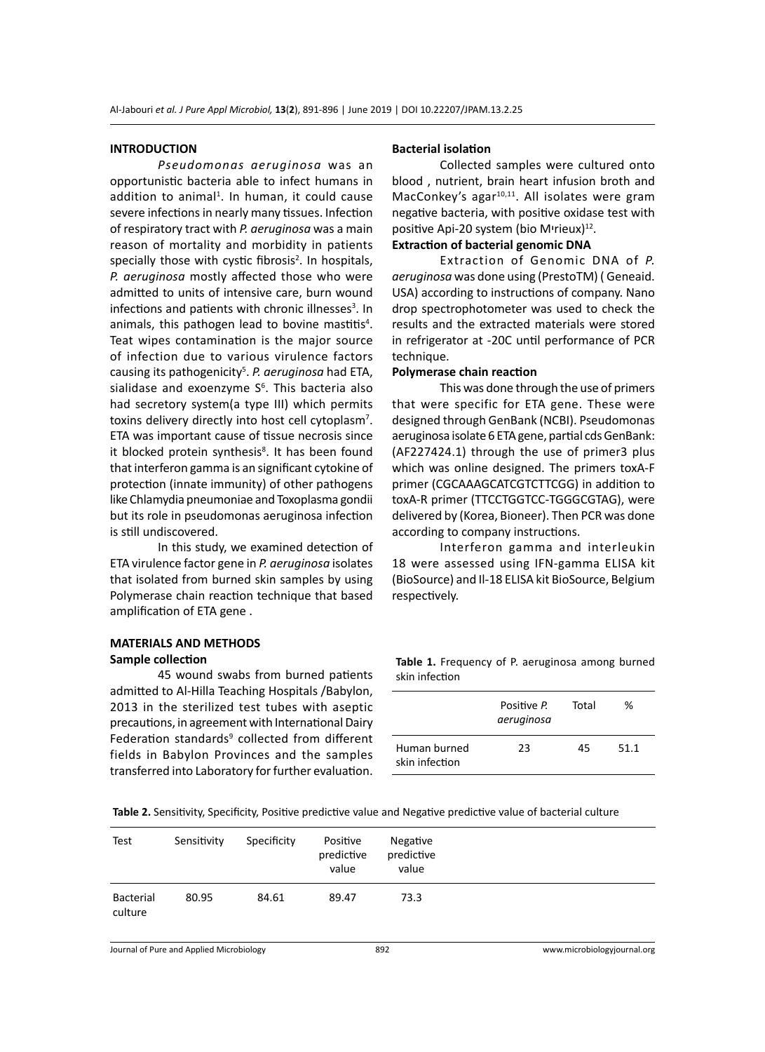#### **INTRODUCTION**

*Pseudomonas aeruginosa* was an opportunistic bacteria able to infect humans in addition to animal<sup>1</sup>. In human, it could cause severe infections in nearly many tissues. Infection of respiratory tract with *P. aeruginosa* was a main reason of mortality and morbidity in patients specially those with cystic fibrosis<sup>2</sup>. In hospitals, *P. aeruginosa* mostly affected those who were admitted to units of intensive care, burn wound infections and patients with chronic illnesses<sup>3</sup>. In animals, this pathogen lead to bovine mastitis<sup>4</sup>. Teat wipes contamination is the major source of infection due to various virulence factors causing its pathogenicity<sup>5</sup>. P. aeruginosa had ETA, sialidase and exoenzyme S<sup>6</sup>. This bacteria also had secretory system(a type III) which permits toxins delivery directly into host cell cytoplasm<sup>7</sup>. ETA was important cause of tissue necrosis since it blocked protein synthesis<sup>8</sup>. It has been found that interferon gamma is an significant cytokine of protection (innate immunity) of other pathogens like Chlamydia pneumoniae and Toxoplasma gondii but its role in pseudomonas aeruginosa infection is still undiscovered.

In this study, we examined detection of ETA virulence factor gene in *P. aeruginosa* isolates that isolated from burned skin samples by using Polymerase chain reaction technique that based amplification of ETA gene .

# **MATERIALS AND METHODS Sample collection**

45 wound swabs from burned patients admitted to Al-Hilla Teaching Hospitals /Babylon, 2013 in the sterilized test tubes with aseptic precautions, in agreement with International Dairy Federation standards<sup>9</sup> collected from different fields in Babylon Provinces and the samples transferred into Laboratory for further evaluation.

### **Bacterial isolation**

Collected samples were cultured onto blood , nutrient, brain heart infusion broth and MacConkey's agar<sup>10,11</sup>. All isolates were gram negative bacteria, with positive oxidase test with positive Api-20 system (bio M<sup>irieux)12</sup>.

## **Extraction of bacterial genomic DNA**

Extraction of Genomic DNA of *P. aeruginosa* was done using (PrestoTM) ( Geneaid. USA) according to instructions of company. Nano drop spectrophotometer was used to check the results and the extracted materials were stored in refrigerator at -20C until performance of PCR technique.

### **Polymerase chain reaction**

This was done through the use of primers that were specific for ETA gene. These were designed through GenBank (NCBI). Pseudomonas aeruginosa isolate 6 ETA gene, partial cds GenBank: (AF227424.1) through the use of primer3 plus which was online designed. The primers toxA-F primer (CGCAAAGCATCGTCTTCGG) in addition to toxA-R primer (TTCCTGGTCC-TGGGCGTAG), were delivered by (Korea, Bioneer). Then PCR was done according to company instructions.

Interferon gamma and interleukin 18 were assessed using IFN-gamma ELISA kit (BioSource) and Il-18 ELISA kit BioSource, Belgium respectively.

Table 1. Frequency of P. aeruginosa among burned skin infection

|                                | Positive P.<br>aeruginosa | Total | ℅    |  |
|--------------------------------|---------------------------|-------|------|--|
| Human burned<br>skin infection | 23                        | 45    | 51.1 |  |

**Table 2.** Sensitivity, Specificity, Positive predictive value and Negative predictive value of bacterial culture

| Test                 | Sensitivity | Specificity | Positive<br>predictive<br>value | Negative<br>predictive<br>value |  |
|----------------------|-------------|-------------|---------------------------------|---------------------------------|--|
| Bacterial<br>culture | 80.95       | 84.61       | 89.47                           | 73.3                            |  |

Journal of Pure and Applied Microbiology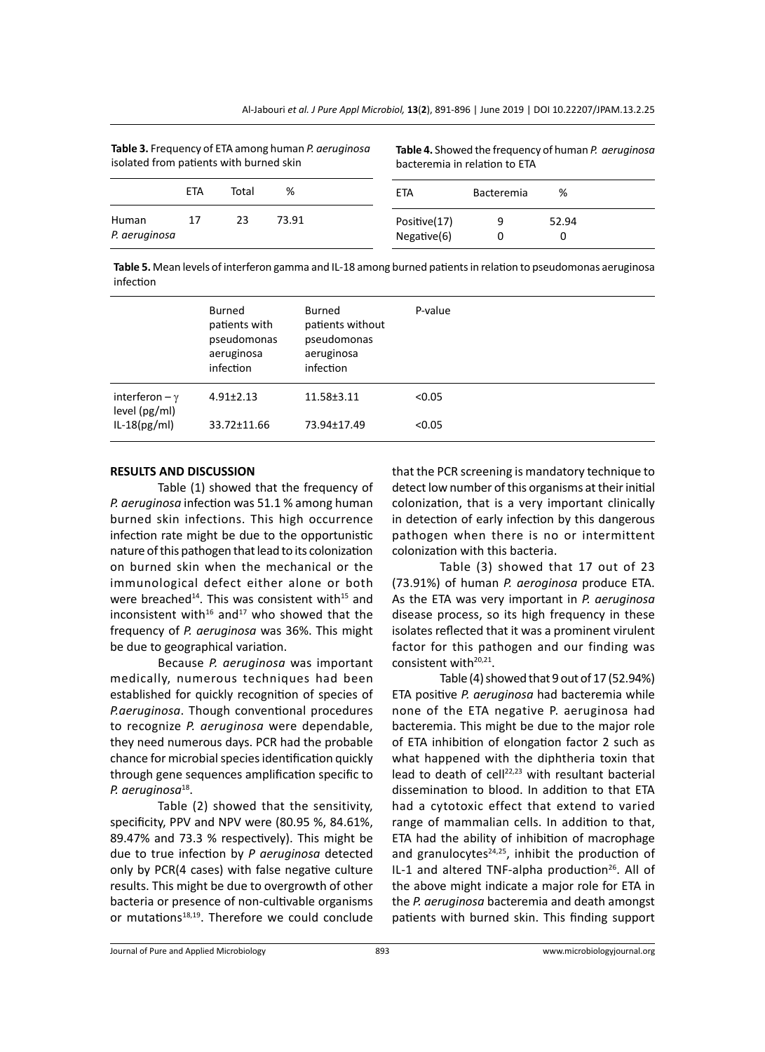| <b>Table 3.</b> Frequency of ETA among human P. <i>geruginosa</i><br>isolated from patients with burned skin |            |       | Table 4. Showed the frequency of human P. aeruginosa<br>bacteremia in relation to ETA |                             |            |            |
|--------------------------------------------------------------------------------------------------------------|------------|-------|---------------------------------------------------------------------------------------|-----------------------------|------------|------------|
|                                                                                                              | <b>ETA</b> | Total | %                                                                                     | ETA                         | Bacteremia | %          |
| Human<br>P. aeruginosa                                                                                       | 17         | 23    | 73.91                                                                                 | Positive(17)<br>Negative(6) | 0          | 52.94<br>0 |

**Table 3.** Frequency of ETA among human *P. aeruginosa*

**Table 5.** Mean levels of interferon gamma and IL-18 among burned patients in relation to pseudomonas aeruginosa infection

|                                         | Burned<br>patients with<br>pseudomonas<br>aeruginosa<br>infection | Burned<br>patients without<br>pseudomonas<br>aeruginosa<br>infection | P-value |
|-----------------------------------------|-------------------------------------------------------------------|----------------------------------------------------------------------|---------|
| interferon $-\gamma$<br>level $(pg/ml)$ | $4.91 \pm 2.13$                                                   | 11.58±3.11                                                           | < 0.05  |
| $IL-18(pg/ml)$                          | 33.72±11.66                                                       | 73.94±17.49                                                          | < 0.05  |

#### **RESULTS AND DISCUSSION**

Table (1) showed that the frequency of *P. aeruginosa* infection was 51.1 % among human burned skin infections. This high occurrence infection rate might be due to the opportunistic nature of this pathogen that lead to its colonization on burned skin when the mechanical or the immunological defect either alone or both were breached<sup>14</sup>. This was consistent with<sup>15</sup> and inconsistent with<sup>16</sup> and<sup>17</sup> who showed that the frequency of *P. aeruginosa* was 36%. This might be due to geographical variation.

Because *P. aeruginosa* was important medically, numerous techniques had been established for quickly recognition of species of *P.aeruginosa*. Though conventional procedures to recognize *P. aeruginosa* were dependable, they need numerous days. PCR had the probable chance for microbial species identification quickly through gene sequences amplification specific to *P. aeruginosa*18.

Table (2) showed that the sensitivity, specificity, PPV and NPV were (80.95 %, 84.61%, 89.47% and 73.3 % respectively). This might be due to true infection by *P aeruginosa* detected only by PCR(4 cases) with false negative culture results. This might be due to overgrowth of other bacteria or presence of non-cultivable organisms or mutations<sup>18,19</sup>. Therefore we could conclude that the PCR screening is mandatory technique to detect low number of this organisms at their initial colonization, that is a very important clinically in detection of early infection by this dangerous pathogen when there is no or intermittent colonization with this bacteria.

Table (3) showed that 17 out of 23 (73.91%) of human *P. aeroginosa* produce ETA. As the ETA was very important in *P. aeruginosa* disease process, so its high frequency in these isolates reflected that it was a prominent virulent factor for this pathogen and our finding was consistent with<sup>20,21</sup>.

Table (4) showed that 9 out of 17 (52.94%) ETA positive *P. aeruginosa* had bacteremia while none of the ETA negative P. aeruginosa had bacteremia. This might be due to the major role of ETA inhibition of elongation factor 2 such as what happened with the diphtheria toxin that lead to death of cell<sup>22,23</sup> with resultant bacterial dissemination to blood. In addition to that ETA had a cytotoxic effect that extend to varied range of mammalian cells. In addition to that, ETA had the ability of inhibition of macrophage and granulocytes $24,25$ , inhibit the production of IL-1 and altered TNF-alpha production<sup>26</sup>. All of the above might indicate a major role for ETA in the *P. aeruginosa* bacteremia and death amongst patients with burned skin. This finding support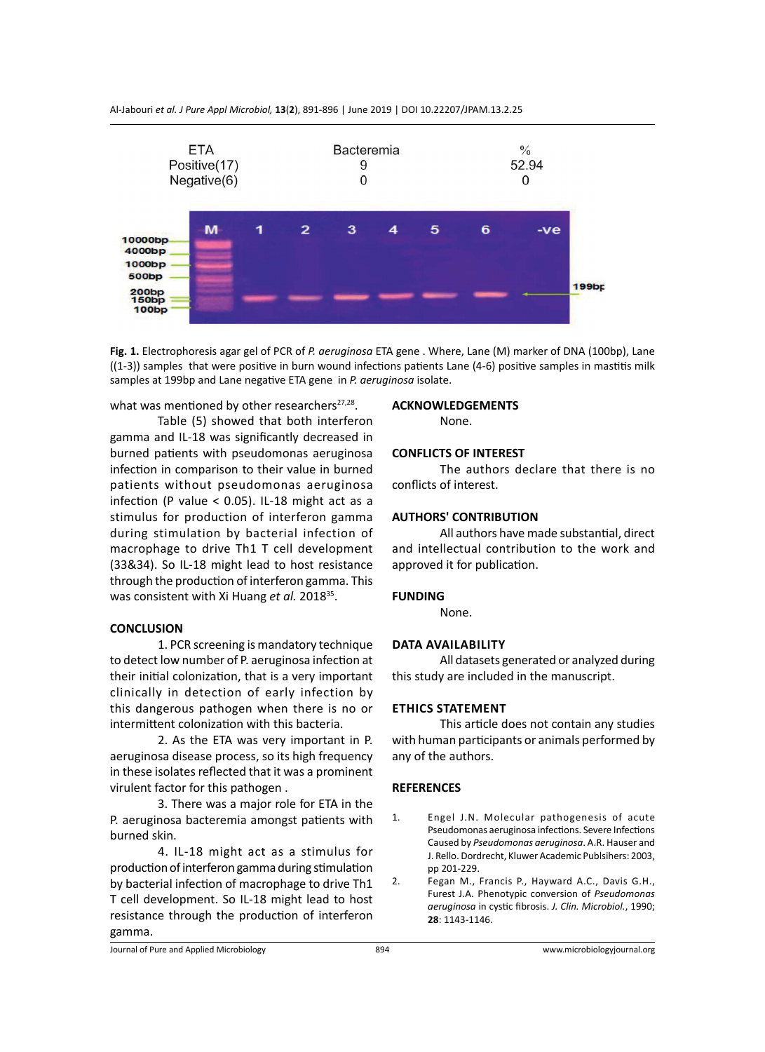

Al-Jabouri *et al. J Pure Appl Microbiol,* **13**(**2**), 891-896 | June 2019 | DOI 10.22207/JPAM.13.2.25

**Fig. 1.** Electrophoresis agar gel of PCR of *P. aeruginosa* ETA gene . Where, Lane (M) marker of DNA (100bp), Lane ((1-3)) samples that were positive in burn wound infections patients Lane (4-6) positive samples in mastitis milk samples at 199bp and Lane negative ETA gene in *P. aeruginosa* isolate.

what was mentioned by other researchers $27,28$ .

Table (5) showed that both interferon gamma and IL-18 was significantly decreased in burned patients with pseudomonas aeruginosa infection in comparison to their value in burned patients without pseudomonas aeruginosa infection (P value  $<$  0.05). IL-18 might act as a stimulus for production of interferon gamma during stimulation by bacterial infection of macrophage to drive Th1 T cell development (33&34). So IL-18 might lead to host resistance through the production of interferon gamma. This was consistent with Xi Huang *et al.* 2018<sup>35</sup>.

#### **CONCLUSION**

1. PCR screening is mandatory technique to detect low number of P. aeruginosa infection at their initial colonization, that is a very important clinically in detection of early infection by this dangerous pathogen when there is no or intermittent colonization with this bacteria.

2. As the ETA was very important in P. aeruginosa disease process, so its high frequency in these isolates reflected that it was a prominent virulent factor for this pathogen .

3. There was a major role for ETA in the P. aeruginosa bacteremia amongst patients with burned skin.

4. IL-18 might act as a stimulus for production of interferon gamma during stimulation by bacterial infection of macrophage to drive Th1 T cell development. So IL-18 might lead to host resistance through the production of interferon gamma.

### **ACKNOWLEDGEMENTS**

None.

# **CONFLICTS OF INTEREST**

The authors declare that there is no conflicts of interest.

#### **AUTHORS' CONTRIBUTION**

All authors have made substantial, direct and intellectual contribution to the work and approved it for publication.

#### **FUNDING**

None.

#### **Data availability**

All datasets generated or analyzed during this study are included in the manuscript.

### **Ethics Statement**

This article does not contain any studies with human participants or animals performed by any of the authors.

### **REFERENCES**

- 1. Engel J.N. Molecular pathogenesis of acute Pseudomonas aeruginosa infections. Severe Infections Caused by *Pseudomonas aeruginosa*. A.R. Hauser and J. Rello. Dordrecht, Kluwer Academic Publsihers: 2003, pp 201-229.
- 2. Fegan M., Francis P., Hayward A.C., Davis G.H., Furest J.A. Phenotypic conversion of *Pseudomonas aeruginosa* in cystic fibrosis. *J. Clin. Microbiol.*, 1990; **28**: 1143-1146.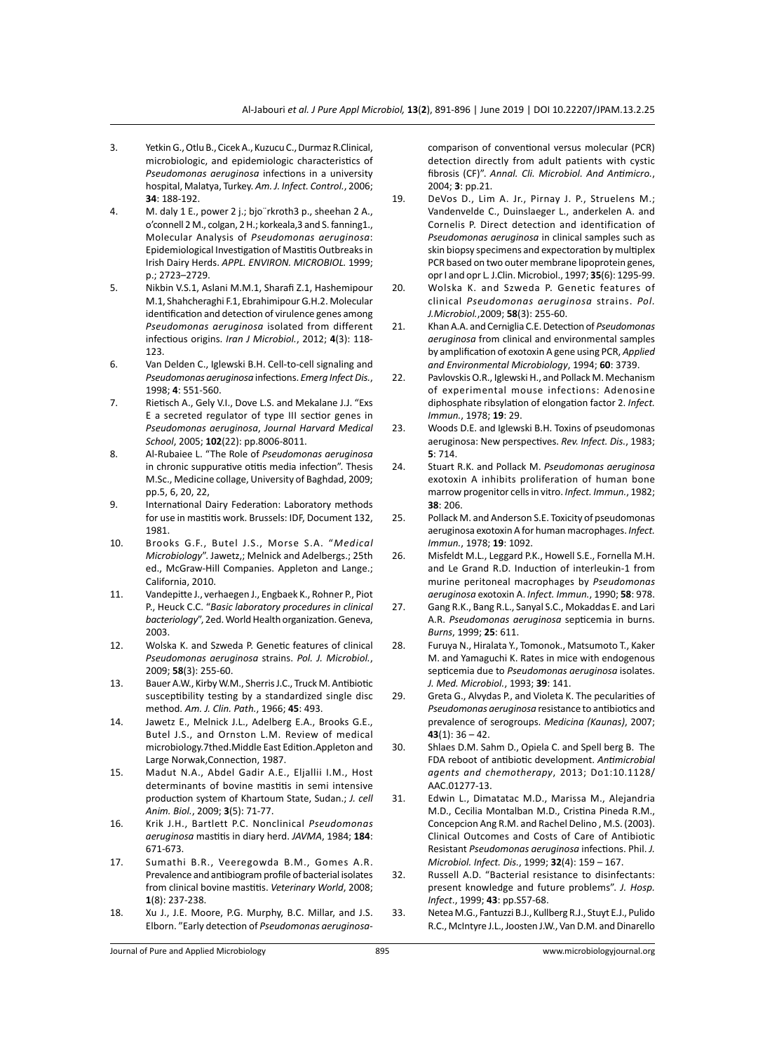- 3. Yetkin G., Otlu B., Cicek A., Kuzucu C., Durmaz R.Clinical, microbiologic, and epidemiologic characteristics of *Pseudomonas aeruginosa* infections in a university hospital, Malatya, Turkey. *Am. J. Infect. Control.*, 2006; **34**: 188-192.
- 4. M. daly 1 E., power 2 j.; bjo¨rkroth3 p., sheehan 2 A., o'connell 2 M., colgan, 2 H.; korkeala,3 and S. fanning1., Molecular Analysis of *Pseudomonas aeruginosa*: Epidemiological Investigation of Mastitis Outbreaks in Irish Dairy Herds. *APPL. ENVIRON. MICROBIOL.* 1999; p.; 2723–2729.
- 5. Nikbin V.S.1, Aslani M.M.1, Sharafi Z.1, Hashemipour M.1, Shahcheraghi F.1, Ebrahimipour G.H.2. Molecular identification and detection of virulence genes among *Pseudomonas aeruginosa* isolated from different infectious origins. *Iran J Microbiol.*, 2012; **4**(3): 118- 123.
- 6. Van Delden C., Iglewski B.H. Cell-to-cell signaling and *Pseudomonas aeruginosa* infections. *Emerg Infect Dis.*, 1998; **4**: 551-560.
- 7. Rietisch A., Gely V.I., Dove L.S. and Mekalane J.J. "Exs E a secreted regulator of type III sectior genes in *Pseudomonas aeruginosa*, *Journal Harvard Medical School*, 2005; **102**(22): pp.8006-8011.
- 8. Al-Rubaiee L. "The Role of *Pseudomonas aeruginosa*  in chronic suppurative otitis media infection". Thesis M.Sc., Medicine collage, University of Baghdad, 2009; pp.5, 6, 20, 22,
- 9. International Dairy Federation: Laboratory methods for use in mastitis work. Brussels: IDF, Document 132, 1981.
- 10. Brooks G.F., Butel J.S., Morse S.A. "*Medical Microbiology*". Jawetz,; Melnick and Adelbergs.; 25th ed., McGraw-Hill Companies. Appleton and Lange.; California, 2010.
- 11. Vandepitte J., verhaegen J., Engbaek K., Rohner P., Piot P., Heuck C.C. "*Basic laboratory procedures in clinical bacteriology*", 2ed. World Health organization. Geneva, 2003.
- 12. Wolska K. and Szweda P. Genetic features of clinical *Pseudomonas aeruginosa* strains. *Pol. J. Microbiol.*, 2009; **58**(3): 255-60.
- 13. Bauer A.W., Kirby W.M., Sherris J.C., Truck M. Antibiotic susceptibility testing by a standardized single disc method. *Am. J. Clin. Path.*, 1966; **45**: 493.
- 14. Jawetz E., Melnick J.L., Adelberg E.A., Brooks G.E., Butel J.S., and Ornston L.M. Review of medical microbiology.7thed.Middle East Edition.Appleton and Large Norwak,Connection, 1987.
- 15. Madut N.A., Abdel Gadir A.E., Eljallii I.M., Host determinants of bovine mastitis in semi intensive production system of Khartoum State, Sudan.; *J. cell Anim. Biol.*, 2009; **3**(5): 71-77.
- 16. Krik J.H., Bartlett P.C. Nonclinical *Pseudomonas aeruginosa* mastitis in diary herd. *JAVMA*, 1984; **184**: 671-673.
- 17. Sumathi B.R., Veeregowda B.M., Gomes A.R. Prevalence and antibiogram profile of bacterial isolates from clinical bovine mastitis. *Veterinary World*, 2008; **1**(8): 237-238.
- 18. Xu J., J.E. Moore, P.G. Murphy, B.C. Millar, and J.S. Elborn. "Early detection of *Pseudomonas aeruginosa-*

comparison of conventional versus molecular (PCR) detection directly from adult patients with cystic fibrosis (CF)". *Annal. Cli. Microbiol. And Antimicro.*, 2004; **3**: pp.21.

- 19. DeVos D., Lim A. Jr., Pirnay J. P., Struelens M.; Vandenvelde C., Duinslaeger L., anderkelen A. and Cornelis P. Direct detection and identification of *Pseudomonas aeruginosa* in clinical samples such as skin biopsy specimens and expectoration by multiplex PCR based on two outer membrane lipoprotein genes, opr I and opr L*.* J.Clin. Microbiol., 1997; **35**(6): 1295-99.
- 20. Wolska K. and Szweda P. Genetic features of clinical *Pseudomonas aeruginosa* strains. *Pol. J.Microbiol.*,2009; **58**(3): 255-60.
- 21. Khan A.A. and Cerniglia C.E. Detection of *Pseudomonas aeruginosa* from clinical and environmental samples by amplification of exotoxin A gene using PCR, *Applied and Environmental Microbiology*, 1994; **60**: 3739.
- 22. Pavlovskis O.R., Iglewski H., and Pollack M. Mechanism of experimental mouse infections: Adenosine diphosphate ribsylation of elongation factor 2. *Infect. Immun.*, 1978; **19**: 29.
- 23. Woods D.E. and Iglewski B.H. Toxins of pseudomonas aeruginosa: New perspectives. *Rev. Infect. Dis.*, 1983; **5**: 714.
- 24. Stuart R.K. and Pollack M. *Pseudomonas aeruginosa*  exotoxin A inhibits proliferation of human bone marrow progenitor cells in vitro. *Infect. Immun.*, 1982; **38**: 206.
- 25. Pollack M. and Anderson S.E. Toxicity of pseudomonas aeruginosa exotoxin A for human macrophages. *Infect. Immun.*, 1978; **19**: 1092.
- 26. Misfeldt M.L., Leggard P.K., Howell S.E., Fornella M.H. and Le Grand R.D. Induction of interleukin-1 from murine peritoneal macrophages by *Pseudomonas aeruginosa* exotoxin A. *Infect. Immun.*, 1990; **58**: 978.
- 27. Gang R.K., Bang R.L., Sanyal S.C., Mokaddas E. and Lari A.R. *Pseudomonas aeruginosa* septicemia in burns. *Burns*, 1999; **25**: 611.
- 28. Furuya N., Hiralata Y., Tomonok., Matsumoto T., Kaker M. and Yamaguchi K. Rates in mice with endogenous septicemia due to *Pseudomonas aeruginosa* isolates. *J. Med. Microbiol.*, 1993; **39**: 141.
- 29. Greta G., Alvydas P., and Violeta K. The pecularities of *Pseudomonas aeruginosa* resistance to antibiotics and prevalence of serogroups. *Medicina (Kaunas)*, 2007; **43**(1): 36 – 42.
- 30. Shlaes D.M. Sahm D., Opiela C. and Spell berg B. The FDA reboot of antibiotic development. *Antimicrobial agents and chemotherapy*, 2013; Do1:10.1128/ AAC.01277-13.
- 31. Edwin L., Dimatatac M.D., Marissa M., Alejandria M.D., Cecilia Montalban M.D., Cristina Pineda R.M., Concepcion Ang R.M. and Rachel Delino , M.S. (2003). Clinical Outcomes and Costs of Care of Antibiotic Resistant *Pseudomonas aeruginosa* infections. Phil. *J. Microbiol. Infect. Dis.*, 1999; **32**(4): 159 – 167.
- 32. Russell A.D. "Bacterial resistance to disinfectants: present knowledge and future problems". *J. Hosp. Infect*., 1999; **43**: pp.S57-68.
- 33. Netea M.G., Fantuzzi B.J., Kullberg R.J., Stuyt E.J., Pulido R.C., McIntyre J.L., Joosten J.W., Van D.M. and Dinarello